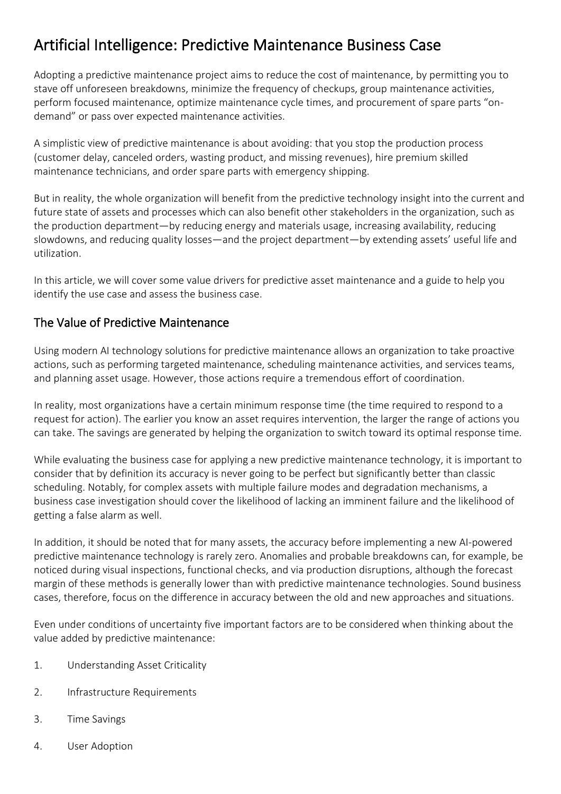# Artificial Intelligence: Predictive Maintenance Business Case

Adopting a predictive maintenance project aims to reduce the cost of maintenance, by permitting you to stave off unforeseen breakdowns, minimize the frequency of checkups, group maintenance activities, perform focused maintenance, optimize maintenance cycle times, and procurement of spare parts "ondemand" or pass over expected maintenance activities.

A simplistic view of predictive maintenance is about avoiding: that you stop the production process (customer delay, canceled orders, wasting product, and missing revenues), hire premium skilled maintenance technicians, and order spare parts with emergency shipping.

But in reality, the whole organization will benefit from the predictive technology insight into the current and future state of assets and processes which can also benefit other stakeholders in the organization, such as the production department—by reducing energy and materials usage, increasing availability, reducing slowdowns, and reducing quality losses—and the project department—by extending assets' useful life and utilization.

In this article, we will cover some value drivers for predictive asset maintenance and a guide to help you identify the use case and assess the business case.

# The Value of Predictive Maintenance

Using modern AI technology solutions for predictive maintenance allows an organization to take proactive actions, such as performing targeted maintenance, scheduling maintenance activities, and services teams, and planning asset usage. However, those actions require a tremendous effort of coordination.

In reality, most organizations have a certain minimum response time (the time required to respond to a request for action). The earlier you know an asset requires intervention, the larger the range of actions you can take. The savings are generated by helping the organization to switch toward its optimal response time.

While evaluating the business case for applying a new predictive maintenance technology, it is important to consider that by definition its accuracy is never going to be perfect but significantly better than classic scheduling. Notably, for complex assets with multiple failure modes and degradation mechanisms, a business case investigation should cover the likelihood of lacking an imminent failure and the likelihood of getting a false alarm as well.

In addition, it should be noted that for many assets, the accuracy before implementing a new AI-powered predictive maintenance technology is rarely zero. Anomalies and probable breakdowns can, for example, be noticed during visual inspections, functional checks, and via production disruptions, although the forecast margin of these methods is generally lower than with predictive maintenance technologies. Sound business cases, therefore, focus on the difference in accuracy between the old and new approaches and situations.

Even under conditions of uncertainty five important factors are to be considered when thinking about the value added by predictive maintenance:

- 1. Understanding Asset Criticality
- 2. Infrastructure Requirements
- 3. Time Savings
- 4. User Adoption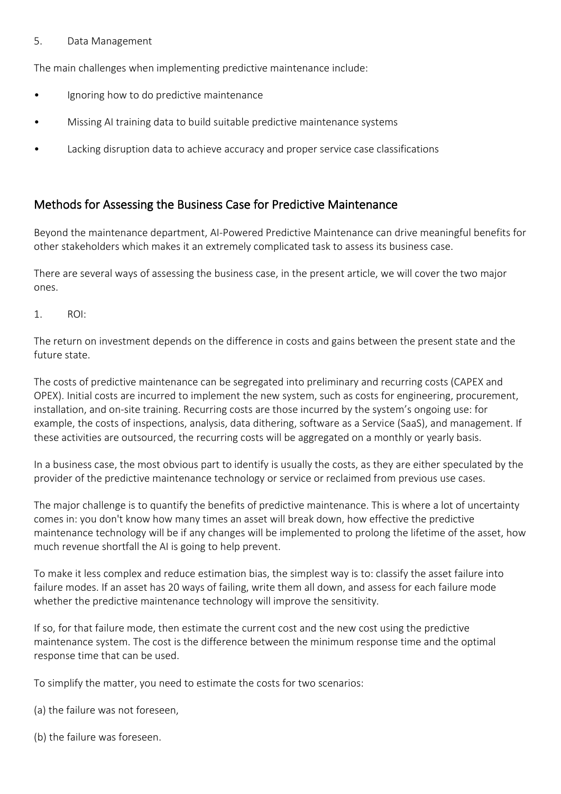#### 5. Data Management

The main challenges when implementing predictive maintenance include:

- Ignoring how to do predictive maintenance
- Missing AI training data to build suitable predictive maintenance systems
- Lacking disruption data to achieve accuracy and proper service case classifications

## Methods for Assessing the Business Case for Predictive Maintenance

Beyond the maintenance department, AI-Powered Predictive Maintenance can drive meaningful benefits for other stakeholders which makes it an extremely complicated task to assess its business case.

There are several ways of assessing the business case, in the present article, we will cover the two major ones.

1. ROI:

The return on investment depends on the difference in costs and gains between the present state and the future state.

The costs of predictive maintenance can be segregated into preliminary and recurring costs (CAPEX and OPEX). Initial costs are incurred to implement the new system, such as costs for engineering, procurement, installation, and on-site training. Recurring costs are those incurred by the system's ongoing use: for example, the costs of inspections, analysis, data dithering, software as a Service (SaaS), and management. If these activities are outsourced, the recurring costs will be aggregated on a monthly or yearly basis.

In a business case, the most obvious part to identify is usually the costs, as they are either speculated by the provider of the predictive maintenance technology or service or reclaimed from previous use cases.

The major challenge is to quantify the benefits of predictive maintenance. This is where a lot of uncertainty comes in: you don't know how many times an asset will break down, how effective the predictive maintenance technology will be if any changes will be implemented to prolong the lifetime of the asset, how much revenue shortfall the AI is going to help prevent.

To make it less complex and reduce estimation bias, the simplest way is to: classify the asset failure into failure modes. If an asset has 20 ways of failing, write them all down, and assess for each failure mode whether the predictive maintenance technology will improve the sensitivity.

If so, for that failure mode, then estimate the current cost and the new cost using the predictive maintenance system. The cost is the difference between the minimum response time and the optimal response time that can be used.

To simplify the matter, you need to estimate the costs for two scenarios:

(a) the failure was not foreseen,

(b) the failure was foreseen.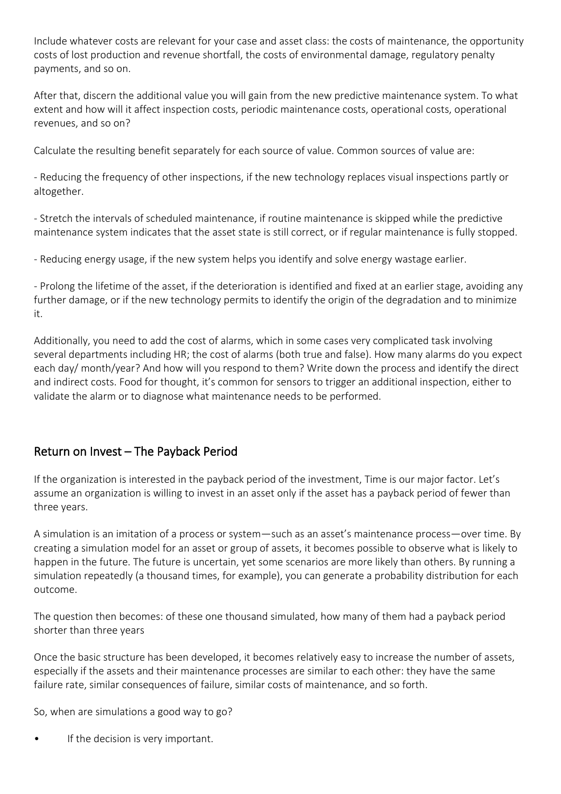Include whatever costs are relevant for your case and asset class: the costs of maintenance, the opportunity costs of lost production and revenue shortfall, the costs of environmental damage, regulatory penalty payments, and so on.

After that, discern the additional value you will gain from the new predictive maintenance system. To what extent and how will it affect inspection costs, periodic maintenance costs, operational costs, operational revenues, and so on?

Calculate the resulting benefit separately for each source of value. Common sources of value are:

- Reducing the frequency of other inspections, if the new technology replaces visual inspections partly or altogether.

- Stretch the intervals of scheduled maintenance, if routine maintenance is skipped while the predictive maintenance system indicates that the asset state is still correct, or if regular maintenance is fully stopped.

- Reducing energy usage, if the new system helps you identify and solve energy wastage earlier.

- Prolong the lifetime of the asset, if the deterioration is identified and fixed at an earlier stage, avoiding any further damage, or if the new technology permits to identify the origin of the degradation and to minimize it.

Additionally, you need to add the cost of alarms, which in some cases very complicated task involving several departments including HR; the cost of alarms (both true and false). How many alarms do you expect each day/ month/year? And how will you respond to them? Write down the process and identify the direct and indirect costs. Food for thought, it's common for sensors to trigger an additional inspection, either to validate the alarm or to diagnose what maintenance needs to be performed.

## Return on Invest – The Payback Period

If the organization is interested in the payback period of the investment, Time is our major factor. Let's assume an organization is willing to invest in an asset only if the asset has a payback period of fewer than three years.

A simulation is an imitation of a process or system—such as an asset's maintenance process—over time. By creating a simulation model for an asset or group of assets, it becomes possible to observe what is likely to happen in the future. The future is uncertain, yet some scenarios are more likely than others. By running a simulation repeatedly (a thousand times, for example), you can generate a probability distribution for each outcome.

The question then becomes: of these one thousand simulated, how many of them had a payback period shorter than three years

Once the basic structure has been developed, it becomes relatively easy to increase the number of assets, especially if the assets and their maintenance processes are similar to each other: they have the same failure rate, similar consequences of failure, similar costs of maintenance, and so forth.

So, when are simulations a good way to go?

• If the decision is very important.